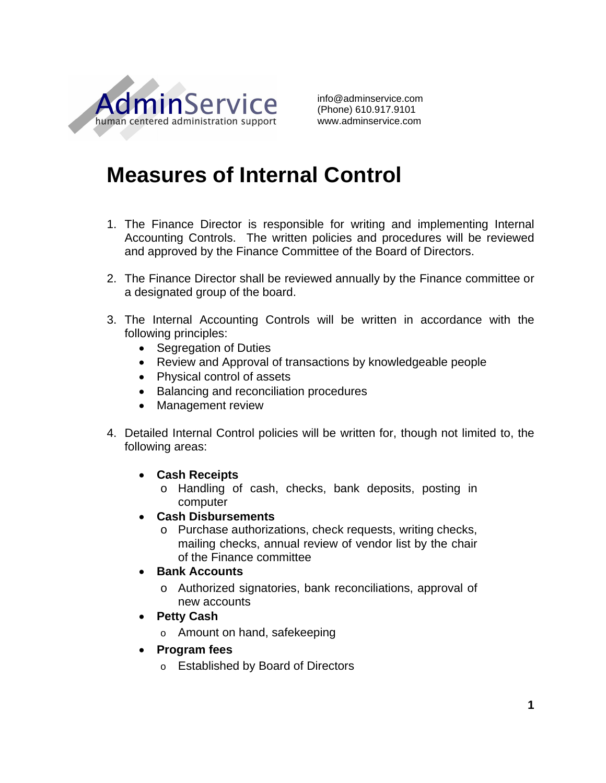

info@adminservice.com (Phone) 610.917.9101 www.adminservice.com

## **Measures of Internal Control**

- 1. The Finance Director is responsible for writing and implementing Internal Accounting Controls. The written policies and procedures will be reviewed and approved by the Finance Committee of the Board of Directors.
- 2. The Finance Director shall be reviewed annually by the Finance committee or a designated group of the board.
- 3. The Internal Accounting Controls will be written in accordance with the following principles:
	- Segregation of Duties
	- Review and Approval of transactions by knowledgeable people
	- Physical control of assets
	- Balancing and reconciliation procedures
	- Management review
- 4. Detailed Internal Control policies will be written for, though not limited to, the following areas:
	- **Cash Receipts**
		- o Handling of cash, checks, bank deposits, posting in computer
	- **Cash Disbursements**
		- o Purchase authorizations, check requests, writing checks, mailing checks, annual review of vendor list by the chair of the Finance committee
	- **Bank Accounts**
		- o Authorized signatories, bank reconciliations, approval of new accounts
	- **Petty Cash**
		- o Amount on hand, safekeeping
	- **Program fees**
		- o Established by Board of Directors